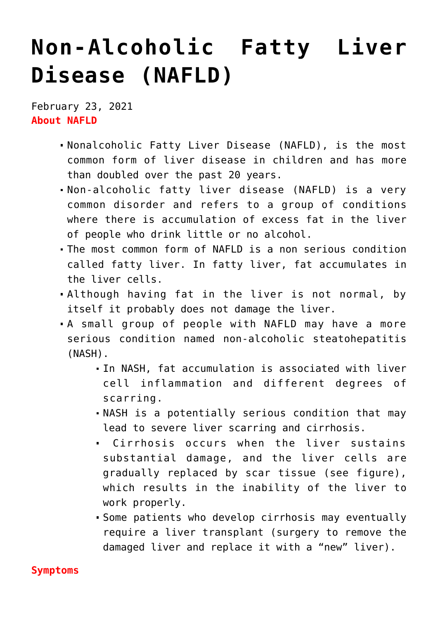## **[Non-Alcoholic Fatty Liver](https://journalsofindia.com/non-alcoholic-fatty-liver-disease-nafld/) [Disease \(NAFLD\)](https://journalsofindia.com/non-alcoholic-fatty-liver-disease-nafld/)**

February 23, 2021 **About NAFLD**

- Nonalcoholic Fatty Liver Disease (NAFLD), is the most common form of liver disease in children and has more than doubled over the past 20 years.
- Non-alcoholic fatty liver disease (NAFLD) is a very common disorder and refers to a group of conditions where there is accumulation of excess fat in the liver of people who drink little or no alcohol.
- The most common form of NAFLD is a non serious condition called fatty liver. In fatty liver, fat accumulates in the liver cells.
- Although having fat in the liver is not normal, by itself it probably does not damage the liver.
- A small group of people with NAFLD may have a more serious condition named non-alcoholic steatohepatitis (NASH).
	- In NASH, fat accumulation is associated with liver cell inflammation and different degrees of scarring.
	- NASH is a potentially serious condition that may lead to severe liver scarring and cirrhosis.
	- Cirrhosis occurs when the liver sustains substantial damage, and the liver cells are gradually replaced by scar tissue (see figure), which results in the inability of the liver to work properly.
	- Some patients who develop cirrhosis may eventually require a liver transplant (surgery to remove the damaged liver and replace it with a "new" liver).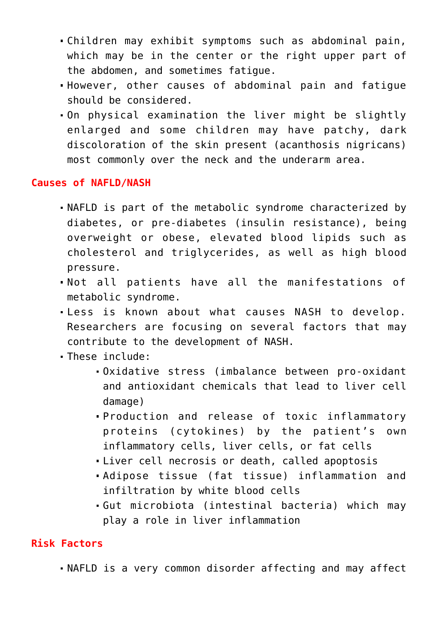- Children may exhibit symptoms such as abdominal pain, which may be in the center or the right upper part of the abdomen, and sometimes fatigue.
- However, other causes of abdominal pain and fatigue should be considered.
- On physical examination the liver might be slightly enlarged and some children may have patchy, dark discoloration of the skin present (acanthosis nigricans) most commonly over the neck and the underarm area.

## **Causes of NAFLD/NASH**

- NAFLD is part of the metabolic syndrome characterized by diabetes, or pre-diabetes (insulin resistance), being overweight or obese, elevated blood lipids such as cholesterol and triglycerides, as well as high blood pressure.
- Not all patients have all the manifestations of metabolic syndrome.
- Less is known about what causes NASH to develop. Researchers are focusing on several factors that may contribute to the development of NASH.
- These include:
	- Oxidative stress (imbalance between pro-oxidant and antioxidant chemicals that lead to liver cell damage)
	- Production and release of toxic inflammatory proteins (cytokines) by the patient's own inflammatory cells, liver cells, or fat cells
	- Liver cell necrosis or death, called apoptosis
	- Adipose tissue (fat tissue) inflammation and infiltration by white blood cells
	- Gut microbiota (intestinal bacteria) which may play a role in liver inflammation

## **Risk Factors**

NAFLD is a very common disorder affecting and may affect